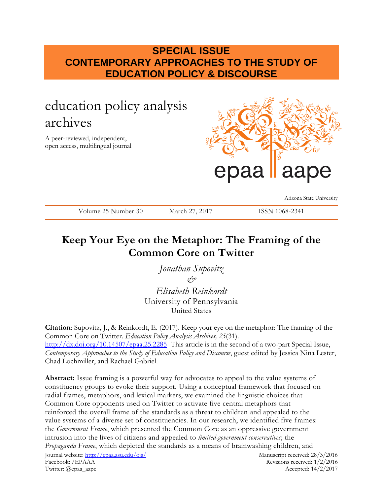## **SPECIAL ISSUE CONTEMPORARY APPROACHES TO THE STUDY OF EDUCATION POLICY & DISCOURSE**

# education policy analysis archives

A peer-reviewed, independent, open access, multilingual journal



Arizona State University

Volume 25 Number 30 March 27, 2017 ISSN 1068-2341

## **Keep Your Eye on the Metaphor: The Framing of the Common Core on Twitter**

*Jonathan Supovitz &*

*Elisabeth Reinkordt* University of Pennsylvania United States

**Citation**: Supovitz, J., & Reinkordt, E. (2017). Keep your eye on the metaphor: The framing of the Common Core on Twitter. *Education Policy Analysis Archives, 25*(31). <http://dx.doi.org/10.14507/epaa.25.2285>This article is in the second of a two-part Special Issue, *Contemporary Approaches to the Study of Education Policy and Discourse*, guest edited by Jessica Nina Lester, Chad Lochmiller, and Rachael Gabriel.

Journal website:<http://epaa.asu.edu/ojs/> Manuscript received: 28/3/2016 Facebook: /EPAAA Revisions received: 1/2/2016 Twitter: @epaa\_aape Accepted: 14/2/2017 **Abstract:** Issue framing is a powerful way for advocates to appeal to the value systems of constituency groups to evoke their support. Using a conceptual framework that focused on radial frames, metaphors, and lexical markers, we examined the linguistic choices that Common Core opponents used on Twitter to activate five central metaphors that reinforced the overall frame of the standards as a threat to children and appealed to the value systems of a diverse set of constituencies. In our research, we identified five frames: the *Government Frame*, which presented the Common Core as an oppressive government intrusion into the lives of citizens and appealed to *limited-government conservatives*; the *Propaganda Frame*, which depicted the standards as a means of brainwashing children, and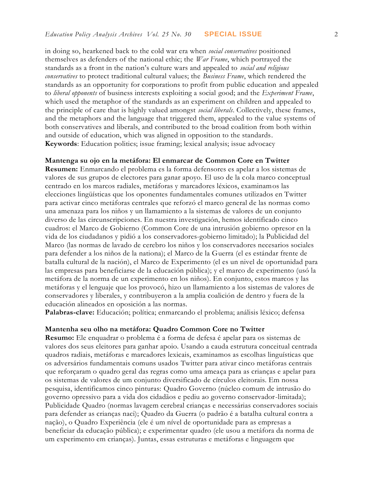in doing so, hearkened back to the cold war era when *social conservatives* positioned themselves as defenders of the national ethic; the *War Frame*, which portrayed the standards as a front in the nation's culture wars and appealed to *social and religious conservatives* to protect traditional cultural values; the *Business Frame*, which rendered the standards as an opportunity for corporations to profit from public education and appealed to *liberal opponents* of business interests exploiting a social good; and the *Experiment Frame*, which used the metaphor of the standards as an experiment on children and appealed to the principle of care that is highly valued amongst *social liberals*. Collectively, these frames, and the metaphors and the language that triggered them, appealed to the value systems of both conservatives and liberals, and contributed to the broad coalition from both within and outside of education, which was aligned in opposition to the standards. **Keywords**: Education politics; issue framing; lexical analysis; issue advocacy

#### **Mantenga su ojo en la metáfora: El enmarcar de Common Core en Twitter**

**Resumen:** Enmarcando el problema es la forma defensores es apelar a los sistemas de valores de sus grupos de electores para ganar apoyo. El uso de la cola marco conceptual centrado en los marcos radiales, metáforas y marcadores léxicos, examinamos las elecciones lingüísticas que los oponentes fundamentales comunes utilizados en Twitter para activar cinco metáforas centrales que reforzó el marco general de las normas como una amenaza para los niños y un llamamiento a la sistemas de valores de un conjunto diverso de las circunscripciones. En nuestra investigación, hemos identificado cinco cuadros: el Marco de Gobierno (Common Core de una intrusión gobierno opresor en la vida de los ciudadanos y pidió a los conservadores-gobierno limitado); la Publicidad del Marco (las normas de lavado de cerebro los niños y los conservadores necesarios sociales para defender a los niños de la nationa); el Marco de la Guerra (el es estándar frente de batalla cultural de la nación), el Marco de Experimento (el es un nivel de oportunidad para las empresas para beneficiarse de la educación pública); y el marco de experimento (usó la metáfora de la norma de un experimento en los niños). En conjunto, estos marcos y las metáforas y el lenguaje que los provocó, hizo un llamamiento a los sistemas de valores de conservadores y liberales, y contribuyeron a la amplia coalición de dentro y fuera de la educación alineados en oposición a las normas.

**Palabras-clave:** Educación; política; enmarcando el problema; análisis léxico; defensa

#### **Mantenha seu olho na metáfora: Quadro Common Core no Twitter**

**Resumo:** Ele enquadrar o problema é a forma de defesa é apelar para os sistemas de valores dos seus eleitores para ganhar apoio. Usando a cauda estrutura conceitual centrada quadros radiais, metáforas e marcadores lexicais, examinamos as escolhas linguísticas que os adversários fundamentais comuns usados Twitter para ativar cinco metáforas centrais que reforçaram o quadro geral das regras como uma ameaça para as crianças e apelar para os sistemas de valores de um conjunto diversificado de círculos eleitorais. Em nossa pesquisa, identificamos cinco pinturas: Quadro Governo (núcleo comum de intrusão do governo opressivo para a vida dos cidadãos e pediu ao governo conservador-limitada); Publicidade Quadro (normas lavagem cerebral crianças e necessárias conservadores sociais para defender as crianças naci); Quadro da Guerra (o padrão é a batalha cultural contra a nação), o Quadro Experiência (ele é um nível de oportunidade para as empresas a beneficiar da educação pública); e experimentar quadro (ele usou a metáfora da norma de um experimento em crianças). Juntas, essas estruturas e metáforas e linguagem que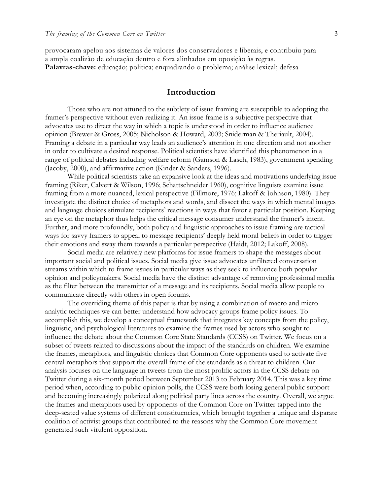provocaram apelou aos sistemas de valores dos conservadores e liberais, e contribuiu para a ampla coalizão de educação dentro e fora alinhados em oposição às regras. **Palavras-chave:** educação; política; enquadrando o problema; análise lexical; defesa

## **Introduction**

Those who are not attuned to the subtlety of issue framing are susceptible to adopting the framer's perspective without even realizing it. An issue frame is a subjective perspective that advocates use to direct the way in which a topic is understood in order to influence audience opinion (Brewer & Gross, 2005; Nicholson & Howard, 2003; Sniderman & Theriault, 2004). Framing a debate in a particular way leads an audience's attention in one direction and not another in order to cultivate a desired response. Political scientists have identified this phenomenon in a range of political debates including welfare reform (Gamson & Lasch, 1983), government spending (Jacoby, 2000), and affirmative action (Kinder & Sanders, 1996).

While political scientists take an expansive look at the ideas and motivations underlying issue framing (Riker, Calvert & Wilson, 1996; Schattschneider 1960), cognitive linguists examine issue framing from a more nuanced, lexical perspective (Fillmore, 1976; Lakoff & Johnson, 1980). They investigate the distinct choice of metaphors and words, and dissect the ways in which mental images and language choices stimulate recipients' reactions in ways that favor a particular position. Keeping an eye on the metaphor thus helps the critical message consumer understand the framer's intent. Further, and more profoundly, both policy and linguistic approaches to issue framing are tactical ways for savvy framers to appeal to message recipients' deeply held moral beliefs in order to trigger their emotions and sway them towards a particular perspective (Haidt, 2012; Lakoff, 2008).

Social media are relatively new platforms for issue framers to shape the messages about important social and political issues. Social media give issue advocates unfiltered conversation streams within which to frame issues in particular ways as they seek to influence both popular opinion and policymakers. Social media have the distinct advantage of removing professional media as the filter between the transmitter of a message and its recipients. Social media allow people to communicate directly with others in open forums.

The overriding theme of this paper is that by using a combination of macro and micro analytic techniques we can better understand how advocacy groups frame policy issues. To accomplish this, we develop a conceptual framework that integrates key concepts from the policy, linguistic, and psychological literatures to examine the frames used by actors who sought to influence the debate about the Common Core State Standards (CCSS) on Twitter. We focus on a subset of tweets related to discussions about the impact of the standards on children. We examine the frames, metaphors, and linguistic choices that Common Core opponents used to activate five central metaphors that support the overall frame of the standards as a threat to children. Our analysis focuses on the language in tweets from the most prolific actors in the CCSS debate on Twitter during a six-month period between September 2013 to February 2014. This was a key time period when, according to public opinion polls, the CCSS were both losing general public support and becoming increasingly polarized along political party lines across the country. Overall, we argue the frames and metaphors used by opponents of the Common Core on Twitter tapped into the deep-seated value systems of different constituencies, which brought together a unique and disparate coalition of activist groups that contributed to the reasons why the Common Core movement generated such virulent opposition.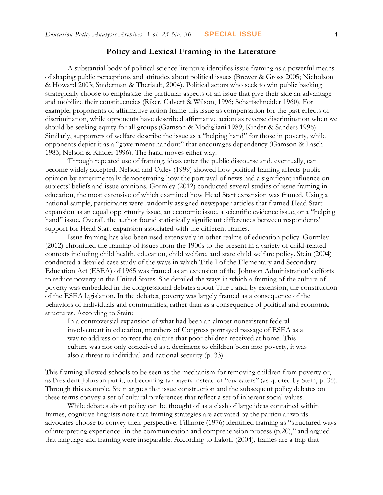## **Policy and Lexical Framing in the Literature**

A substantial body of political science literature identifies issue framing as a powerful means of shaping public perceptions and attitudes about political issues (Brewer & Gross 2005; Nicholson & Howard 2003; Sniderman & Theriault, 2004). Political actors who seek to win public backing strategically choose to emphasize the particular aspects of an issue that give their side an advantage and mobilize their constituencies (Riker, Calvert & Wilson, 1996; Schattschneider 1960). For example, proponents of affirmative action frame this issue as compensation for the past effects of discrimination, while opponents have described affirmative action as reverse discrimination when we should be seeking equity for all groups (Gamson & Modigliani 1989; Kinder & Sanders 1996). Similarly, supporters of welfare describe the issue as a "helping hand" for those in poverty, while opponents depict it as a "government handout" that encourages dependency (Gamson & Lasch 1983; Nelson & Kinder 1996). The hand moves either way.

Through repeated use of framing, ideas enter the public discourse and, eventually, can become widely accepted. Nelson and Oxley (1999) showed how political framing affects public opinion by experimentally demonstrating how the portrayal of news had a significant influence on subjects' beliefs and issue opinions. Gormley (2012) conducted several studies of issue framing in education, the most extensive of which examined how Head Start expansion was framed. Using a national sample, participants were randomly assigned newspaper articles that framed Head Start expansion as an equal opportunity issue, an economic issue, a scientific evidence issue, or a "helping hand" issue. Overall, the author found statistically significant differences between respondents' support for Head Start expansion associated with the different frames.

Issue framing has also been used extensively in other realms of education policy. Gormley (2012) chronicled the framing of issues from the 1900s to the present in a variety of child-related contexts including child health, education, child welfare, and state child welfare policy. Stein (2004) conducted a detailed case study of the ways in which Title I of the Elementary and Secondary Education Act (ESEA) of 1965 was framed as an extension of the Johnson Administration's efforts to reduce poverty in the United States. She detailed the ways in which a framing of the culture of poverty was embedded in the congressional debates about Title I and, by extension, the construction of the ESEA legislation. In the debates, poverty was largely framed as a consequence of the behaviors of individuals and communities, rather than as a consequence of political and economic structures. According to Stein:

In a controversial expansion of what had been an almost nonexistent federal involvement in education, members of Congress portrayed passage of ESEA as a way to address or correct the culture that poor children received at home. This culture was not only conceived as a detriment to children born into poverty, it was also a threat to individual and national security (p. 33).

This framing allowed schools to be seen as the mechanism for removing children from poverty or, as President Johnson put it, to becoming taxpayers instead of "tax eaters" (as quoted by Stein, p. 36). Through this example, Stein argues that issue construction and the subsequent policy debates on these terms convey a set of cultural preferences that reflect a set of inherent social values.

While debates about policy can be thought of as a clash of large ideas contained within frames, cognitive linguists note that framing strategies are activated by the particular words advocates choose to convey their perspective. Fillmore (1976) identified framing as "structured ways of interpreting experience...in the communication and comprehension process (p.20)," and argued that language and framing were inseparable. According to Lakoff (2004), frames are a trap that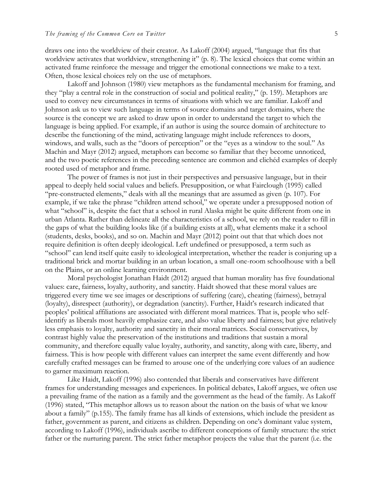draws one into the worldview of their creator. As Lakoff (2004) argued, "language that fits that worldview activates that worldview, strengthening it" (p. 8). The lexical choices that come within an activated frame reinforce the message and trigger the emotional connections we make to a text. Often, those lexical choices rely on the use of metaphors.

Lakoff and Johnson (1980) view metaphors as the fundamental mechanism for framing, and they "play a central role in the construction of social and political reality," (p. 159). Metaphors are used to convey new circumstances in terms of situations with which we are familiar. Lakoff and Johnson ask us to view such language in terms of source domains and target domains, where the source is the concept we are asked to draw upon in order to understand the target to which the language is being applied. For example, if an author is using the source domain of architecture to describe the functioning of the mind, activating language might include references to doors, windows, and walls, such as the "doors of perception" or the "eyes as a window to the soul." As Machin and Mayr (2012) argued, metaphors can become so familiar that they become unnoticed, and the two poetic references in the preceding sentence are common and clichéd examples of deeply rooted used of metaphor and frame.

The power of frames is not just in their perspectives and persuasive language, but in their appeal to deeply held social values and beliefs. Presupposition, or what Fairclough (1995) called "pre-constructed elements," deals with all the meanings that are assumed as given (p. 107). For example, if we take the phrase "children attend school," we operate under a presupposed notion of what "school" is, despite the fact that a school in rural Alaska might be quite different from one in urban Atlanta. Rather than delineate all the characteristics of a school, we rely on the reader to fill in the gaps of what the building looks like (if a building exists at all), what elements make it a school (students, desks, books), and so on. Machin and Mayr (2012) point out that that which does not require definition is often deeply ideological. Left undefined or presupposed, a term such as "school" can lend itself quite easily to ideological interpretation, whether the reader is conjuring up a traditional brick and mortar building in an urban location, a small one-room schoolhouse with a bell on the Plains, or an online learning environment.

Moral psychologist Jonathan Haidt (2012) argued that human morality has five foundational values: care, fairness, loyalty, authority, and sanctity. Haidt showed that these moral values are triggered every time we see images or descriptions of suffering (care), cheating (fairness), betrayal (loyalty), disrespect (authority), or degradation (sanctity). Further, Haidt's research indicated that peoples' political affiliations are associated with different moral matrices. That is, people who selfidentify as liberals most heavily emphasize care, and also value liberty and fairness; but give relatively less emphasis to loyalty, authority and sanctity in their moral matrices. Social conservatives, by contrast highly value the preservation of the institutions and traditions that sustain a moral community, and therefore equally value loyalty, authority, and sanctity, along with care, liberty, and fairness. This is how people with different values can interpret the same event differently and how carefully crafted messages can be framed to arouse one of the underlying core values of an audience to garner maximum reaction.

Like Haidt, Lakoff (1996) also contended that liberals and conservatives have different frames for understanding messages and experiences. In political debates, Lakoff argues, we often use a prevailing frame of the nation as a family and the government as the head of the family. As Lakoff (1996) stated, "This metaphor allows us to reason about the nation on the basis of what we know about a family" (p.155). The family frame has all kinds of extensions, which include the president as father, government as parent, and citizens as children. Depending on one's dominant value system, according to Lakoff (1996), individuals ascribe to different conceptions of family structure: the strict father or the nurturing parent. The strict father metaphor projects the value that the parent (i.e. the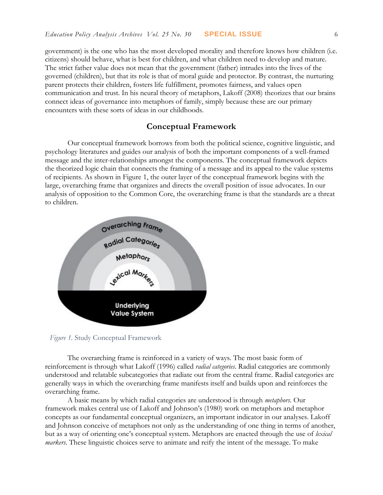government) is the one who has the most developed morality and therefore knows how children (i.e. citizens) should behave, what is best for children, and what children need to develop and mature. The strict father value does not mean that the government (father) intrudes into the lives of the governed (children), but that its role is that of moral guide and protector. By contrast, the nurturing parent protects their children, fosters life fulfillment, promotes fairness, and values open communication and trust. In his neural theory of metaphors, Lakoff (2008) theorizes that our brains connect ideas of governance into metaphors of family, simply because these are our primary encounters with these sorts of ideas in our childhoods.

### **Conceptual Framework**

Our conceptual framework borrows from both the political science, cognitive linguistic, and psychology literatures and guides our analysis of both the important components of a well-framed message and the inter-relationships amongst the components. The conceptual framework depicts the theorized logic chain that connects the framing of a message and its appeal to the value systems of recipients. As shown in Figure 1, the outer layer of the conceptual framework begins with the large, overarching frame that organizes and directs the overall position of issue advocates. In our analysis of opposition to the Common Core, the overarching frame is that the standards are a threat to children.



*Figure 1.* Study Conceptual Framework

The overarching frame is reinforced in a variety of ways. The most basic form of reinforcement is through what Lakoff (1996) called *radial categories*. Radial categories are commonly understood and relatable subcategories that radiate out from the central frame. Radial categories are generally ways in which the overarching frame manifests itself and builds upon and reinforces the overarching frame.

A basic means by which radial categories are understood is through *metaphors*. Our framework makes central use of Lakoff and Johnson's (1980) work on metaphors and metaphor concepts as our fundamental conceptual organizers, an important indicator in our analyses. Lakoff and Johnson conceive of metaphors not only as the understanding of one thing in terms of another, but as a way of orienting one's conceptual system. Metaphors are enacted through the use of *lexical markers*. These linguistic choices serve to animate and reify the intent of the message. To make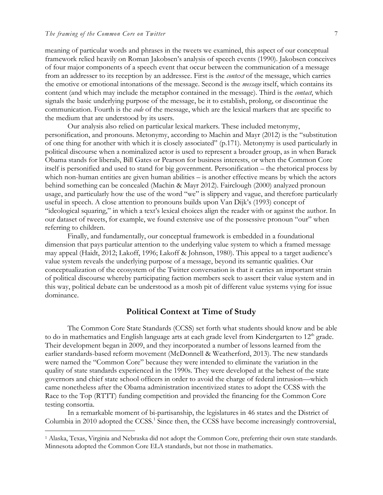$\overline{a}$ 

meaning of particular words and phrases in the tweets we examined, this aspect of our conceptual framework relied heavily on Roman Jakobsen's analysis of speech events (1990). Jakobsen conceives of four major components of a speech event that occur between the communication of a message from an addresser to its reception by an addressee. First is the *context* of the message, which carries the emotive or emotional intonations of the message. Second is the *message* itself, which contains its content (and which may include the metaphor contained in the message). Third is the *contact*, which signals the basic underlying purpose of the message, be it to establish, prolong, or discontinue the communication. Fourth is the *code* of the message, which are the lexical markers that are specific to the medium that are understood by its users.

Our analysis also relied on particular lexical markers. These included metonymy, personification, and pronouns. Metonymy, according to Machin and Mayr (2012) is the "substitution of one thing for another with which it is closely associated" (p.171). Metonymy is used particularly in political discourse when a nominalized actor is used to represent a broader group, as in when Barack Obama stands for liberals, Bill Gates or Pearson for business interests, or when the Common Core itself is personified and used to stand for big government. Personification – the rhetorical process by which non-human entities are given human abilities – is another effective means by which the actors behind something can be concealed (Machin & Mayr 2012). Fairclough (2000) analyzed pronoun usage, and particularly how the use of the word "we" is slippery and vague, and therefore particularly useful in speech. A close attention to pronouns builds upon Van Dijk's (1993) concept of "ideological squaring," in which a text's lexical choices align the reader with or against the author. In our dataset of tweets, for example, we found extensive use of the possessive pronoun "our" when referring to children.

Finally, and fundamentally, our conceptual framework is embedded in a foundational dimension that pays particular attention to the underlying value system to which a framed message may appeal (Haidt, 2012; Lakoff, 1996; Lakoff & Johnson, 1980). This appeal to a target audience's value system reveals the underlying purpose of a message, beyond its semantic qualities. Our conceptualization of the ecosystem of the Twitter conversation is that it carries an important strain of political discourse whereby participating faction members seek to assert their value system and in this way, political debate can be understood as a mosh pit of different value systems vying for issue dominance.

#### **Political Context at Time of Study**

The Common Core State Standards (CCSS) set forth what students should know and be able to do in mathematics and English language arts at each grade level from Kindergarten to 12<sup>th</sup> grade. Their development began in 2009, and they incorporated a number of lessons learned from the earlier standards-based reform movement (McDonnell & Weatherford, 2013). The new standards were named the "Common Core" because they were intended to eliminate the variation in the quality of state standards experienced in the 1990s. They were developed at the behest of the state governors and chief state school officers in order to avoid the charge of federal intrusion—which came nonetheless after the Obama administration incentivized states to adopt the CCSS with the Race to the Top (RTTT) funding competition and provided the financing for the Common Core testing consortia.

In a remarkable moment of bi-partisanship, the legislatures in 46 states and the District of Columbia in 2010 adopted the CCSS.<sup>1</sup> Since then, the CCSS have become increasingly controversial,

<sup>1</sup> Alaska, Texas, Virginia and Nebraska did not adopt the Common Core, preferring their own state standards. Minnesota adopted the Common Core ELA standards, but not those in mathematics.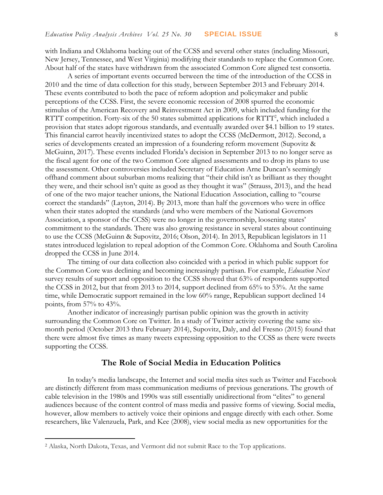with Indiana and Oklahoma backing out of the CCSS and several other states (including Missouri, New Jersey, Tennessee, and West Virginia) modifying their standards to replace the Common Core. About half of the states have withdrawn from the associated Common Core aligned test consortia.

A series of important events occurred between the time of the introduction of the CCSS in 2010 and the time of data collection for this study, between September 2013 and February 2014. These events contributed to both the pace of reform adoption and policymaker and public perceptions of the CCSS. First, the severe economic recession of 2008 spurred the economic stimulus of the American Recovery and Reinvestment Act in 2009, which included funding for the RTTT competition. Forty-six of the 50 states submitted applications for RTTT<sup>2</sup>, which included a provision that states adopt rigorous standards, and eventually awarded over \$4.1 billion to 19 states. This financial carrot heavily incentivized states to adopt the CCSS (McDermott, 2012). Second, a series of developments created an impression of a foundering reform movement (Supovitz & McGuinn, 2017). These events included Florida's decision in September 2013 to no longer serve as the fiscal agent for one of the two Common Core aligned assessments and to drop its plans to use the assessment. Other controversies included Secretary of Education Arne Duncan's seemingly offhand comment about suburban moms realizing that "their child isn't as brilliant as they thought they were, and their school isn't quite as good as they thought it was" (Strauss, 2013), and the head of one of the two major teacher unions, the National Education Association, calling to "course correct the standards" (Layton, 2014). By 2013, more than half the governors who were in office when their states adopted the standards (and who were members of the National Governors Association, a sponsor of the CCSS) were no longer in the governorship, loosening states' commitment to the standards. There was also growing resistance in several states about continuing to use the CCSS (McGuinn & Supovitz, 2016; Olson, 2014). In 2013, Republican legislators in 11 states introduced legislation to repeal adoption of the Common Core. Oklahoma and South Carolina dropped the CCSS in June 2014.

The timing of our data collection also coincided with a period in which public support for the Common Core was declining and becoming increasingly partisan. For example, *Education Next* survey results of support and opposition to the CCSS showed that 63% of respondents supported the CCSS in 2012, but that from 2013 to 2014, support declined from 65% to 53%. At the same time, while Democratic support remained in the low 60% range, Republican support declined 14 points, from 57% to 43%.

Another indicator of increasingly partisan public opinion was the growth in activity surrounding the Common Core on Twitter. In a study of Twitter activity covering the same sixmonth period (October 2013 thru February 2014), Supovitz, Daly, and del Fresno (2015) found that there were almost five times as many tweets expressing opposition to the CCSS as there were tweets supporting the CCSS.

### **The Role of Social Media in Education Politics**

In today's media landscape, the Internet and social media sites such as Twitter and Facebook are distinctly different from mass communication mediums of previous generations. The growth of cable television in the 1980s and 1990s was still essentially unidirectional from "elites" to general audiences because of the content control of mass media and passive forms of viewing. Social media, however, allow members to actively voice their opinions and engage directly with each other. Some researchers, like Valenzuela, Park, and Kee (2008), view social media as new opportunities for the

 $\overline{a}$ 

<sup>2</sup> Alaska, North Dakota, Texas, and Vermont did not submit Race to the Top applications.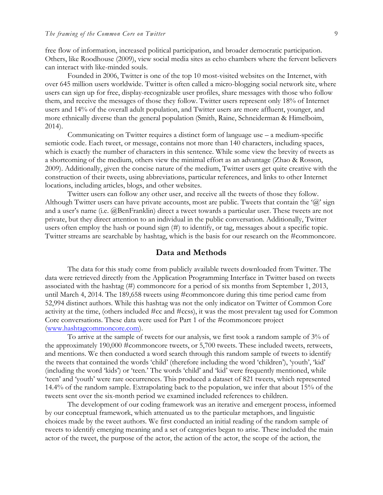free flow of information, increased political participation, and broader democratic participation. Others, like Roodhouse (2009), view social media sites as echo chambers where the fervent believers can interact with like-minded souls.

Founded in 2006, Twitter is one of the top 10 most-visited websites on the Internet, with over 645 million users worldwide. Twitter is often called a micro-blogging social network site, where users can sign up for free, display-recognizable user profiles, share messages with those who follow them, and receive the messages of those they follow. Twitter users represent only 18% of Internet users and 14% of the overall adult population, and Twitter users are more affluent, younger, and more ethnically diverse than the general population (Smith, Raine, Schneiderman & Himelboim, 2014).

Communicating on Twitter requires a distinct form of language use – a medium-specific semiotic code. Each tweet, or message, contains not more than 140 characters, including spaces, which is exactly the number of characters in this sentence. While some view the brevity of tweets as a shortcoming of the medium, others view the minimal effort as an advantage (Zhao & Rosson, 2009). Additionally, given the concise nature of the medium, Twitter users get quite creative with the construction of their tweets, using abbreviations, particular references, and links to other Internet locations, including articles, blogs, and other websites.

Twitter users can follow any other user, and receive all the tweets of those they follow. Although Twitter users can have private accounts, most are public. Tweets that contain the ' $\omega$ ' sign and a user's name (i.e. @BenFranklin) direct a tweet towards a particular user. These tweets are not private, but they direct attention to an individual in the public conversation. Additionally, Twitter users often employ the hash or pound sign (#) to identify, or tag, messages about a specific topic. Twitter streams are searchable by hashtag, which is the basis for our research on the #commoncore.

#### **Data and Methods**

The data for this study come from publicly available tweets downloaded from Twitter. The data were retrieved directly from the Application Programming Interface in Twitter based on tweets associated with the hashtag (#) commoncore for a period of six months from September 1, 2013, until March 4, 2014. The 189,658 tweets using #commoncore during this time period came from 52,994 distinct authors. While this hashtag was not the only indicator on Twitter of Common Core activity at the time, (others included #cc and #ccss), it was the most prevalent tag used for Common Core conversations. These data were used for Part 1 of the #commoncore project [\(www.hashtagcommoncore.com\)](http://www.hashtagcommoncore.com/).

To arrive at the sample of tweets for our analysis, we first took a random sample of 3% of the approximately 190,000 #commoncore tweets, or 5,700 tweets. These included tweets, retweets, and mentions. We then conducted a word search through this random sample of tweets to identify the tweets that contained the words 'child' (therefore including the word 'children'), 'youth', 'kid' (including the word 'kids') or 'teen.' The words 'child' and 'kid' were frequently mentioned, while 'teen' and 'youth' were rare occurrences. This produced a dataset of 821 tweets, which represented 14.4% of the random sample. Extrapolating back to the population, we infer that about 15% of the tweets sent over the six-month period we examined included references to children.

The development of our coding framework was an iterative and emergent process, informed by our conceptual framework, which attenuated us to the particular metaphors, and linguistic choices made by the tweet authors. We first conducted an initial reading of the random sample of tweets to identify emerging meaning and a set of categories began to arise. These included the main actor of the tweet, the purpose of the actor, the action of the actor, the scope of the action, the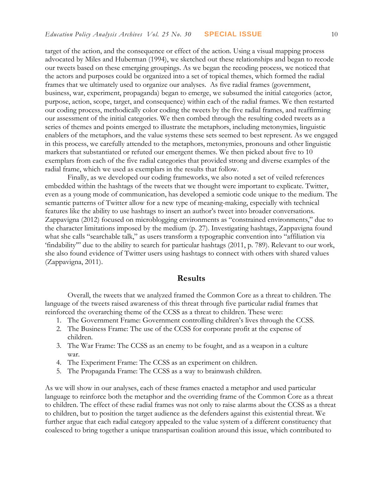target of the action, and the consequence or effect of the action. Using a visual mapping process advocated by Miles and Huberman (1994), we sketched out these relationships and began to recode our tweets based on these emerging groupings. As we began the recoding process, we noticed that the actors and purposes could be organized into a set of topical themes, which formed the radial frames that we ultimately used to organize our analyses. As five radial frames (government, business, war, experiment, propaganda) began to emerge, we subsumed the initial categories (actor, purpose, action, scope, target, and consequence) within each of the radial frames. We then restarted our coding process, methodically color coding the tweets by the five radial frames, and reaffirming our assessment of the initial categories. We then combed through the resulting coded tweets as a series of themes and points emerged to illustrate the metaphors, including metonymies, linguistic enablers of the metaphors, and the value systems these sets seemed to best represent. As we engaged in this process, we carefully attended to the metaphors, metonymies, pronouns and other linguistic markers that substantiated or refuted our emergent themes. We then picked about five to 10 exemplars from each of the five radial categories that provided strong and diverse examples of the radial frame, which we used as exemplars in the results that follow.

Finally, as we developed our coding frameworks, we also noted a set of veiled references embedded within the hashtags of the tweets that we thought were important to explicate. Twitter, even as a young mode of communication, has developed a semiotic code unique to the medium. The semantic patterns of Twitter allow for a new type of meaning-making, especially with technical features like the ability to use hashtags to insert an author's tweet into broader conversations. Zappavigna (2012) focused on microblogging environments as "constrained environments," due to the character limitations imposed by the medium (p. 27). Investigating hashtags, Zappavigna found what she calls "searchable talk," as users transform a typographic convention into "affiliation via 'findability'" due to the ability to search for particular hashtags (2011, p. 789). Relevant to our work, she also found evidence of Twitter users using hashtags to connect with others with shared values (Zappavigna, 2011).

#### **Results**

Overall, the tweets that we analyzed framed the Common Core as a threat to children. The language of the tweets raised awareness of this threat through five particular radial frames that reinforced the overarching theme of the CCSS as a threat to children. These were:

- 1. The Government Frame: Government controlling children's lives through the CCSS.
- 2. The Business Frame: The use of the CCSS for corporate profit at the expense of children.
- 3. The War Frame: The CCSS as an enemy to be fought, and as a weapon in a culture war.
- 4. The Experiment Frame: The CCSS as an experiment on children.
- 5. The Propaganda Frame: The CCSS as a way to brainwash children.

As we will show in our analyses, each of these frames enacted a metaphor and used particular language to reinforce both the metaphor and the overriding frame of the Common Core as a threat to children. The effect of these radial frames was not only to raise alarms about the CCSS as a threat to children, but to position the target audience as the defenders against this existential threat. We further argue that each radial category appealed to the value system of a different constituency that coalesced to bring together a unique transpartisan coalition around this issue, which contributed to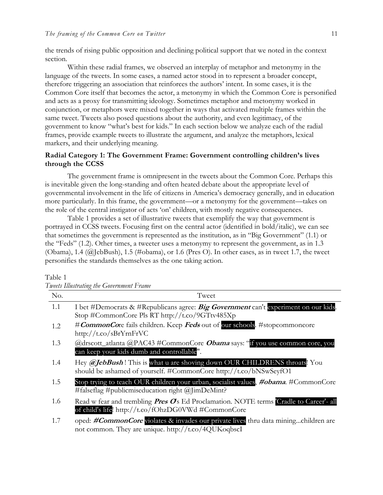the trends of rising public opposition and declining political support that we noted in the context section.

Within these radial frames, we observed an interplay of metaphor and metonymy in the language of the tweets. In some cases, a named actor stood in to represent a broader concept, therefore triggering an association that reinforces the authors' intent. In some cases, it is the Common Core itself that becomes the actor, a metonymy in which the Common Core is personified and acts as a proxy for transmitting ideology. Sometimes metaphor and metonymy worked in conjunction, or metaphors were mixed together in ways that activated multiple frames within the same tweet. Tweets also posed questions about the authority, and even legitimacy, of the government to know "what's best for kids." In each section below we analyze each of the radial frames, provide example tweets to illustrate the argument, and analyze the metaphors, lexical markers, and their underlying meaning.

### **Radial Category 1: The Government Frame: Government controlling children's lives through the CCSS**

The government frame is omnipresent in the tweets about the Common Core. Perhaps this is inevitable given the long-standing and often heated debate about the appropriate level of governmental involvement in the life of citizens in America's democracy generally, and in education more particularly. In this frame, the government—or a metonymy for the government—takes on the role of the central instigator of acts 'on' children, with mostly negative consequences.

Table 1 provides a set of illustrative tweets that exemplify the way that government is portrayed in CCSS tweets. Focusing first on the central actor (identified in bold/italic), we can see that sometimes the government is represented as the institution, as in "Big Government" (1.1) or the "Feds" (1.2). Other times, a tweeter uses a metonymy to represent the government, as in 1.3 (Obama), 1.4 (@JebBush), 1.5 (#obama), or 1.6 (Pres O). In other cases, as in tweet 1.7, the tweet personifies the standards themselves as the one taking action.

|     | Tweets Illustrating the Government Frame                                                                                                            |  |  |
|-----|-----------------------------------------------------------------------------------------------------------------------------------------------------|--|--|
| No. | Tweet                                                                                                                                               |  |  |
| 1.1 | I bet #Democrats & #Republicans agree: Big Government can't experiment on our kids.<br>Stop #CommonCore Pls RT http://t.co/9GTtv485Xp               |  |  |
| 1.2 | #CommonCore fails children. Keep Feds out of our schools. #stopcommoncore<br>http://t.co/sBrYrnFrVC                                                 |  |  |
| 1.3 | @drscott_atlanta @PAC43 #CommonCore <i>Obama</i> says: "if you use common core, you<br>can keep your kids dumb and controllable".                   |  |  |
| 1.4 | Hey @JebBush! This is what u are shoving down OUR CHILDRENS throats! You<br>should be ashamed of yourself. #CommonCore http://t.co/bNSwSeyfO1       |  |  |
| 1.5 | Stop trying to teach OUR children your urban, socialist values, #obama. #CommonCore<br>#falseflag #publicmiseducation right $(a)$ [imDeMint?        |  |  |
| 1.6 | Read w fear and trembling <i>Pres O</i> s Ed Proclamation. NOTE terms Cradle to Career'- all<br>of child's life! http://t.co/fOhzDG0VWd #CommonCore |  |  |
| 1.7 | oped: #CommonCore violates & invades our private lives thru data miningchildren are<br>not common. They are unique. http://t.co/4QUKoqbscI          |  |  |

#### Table 1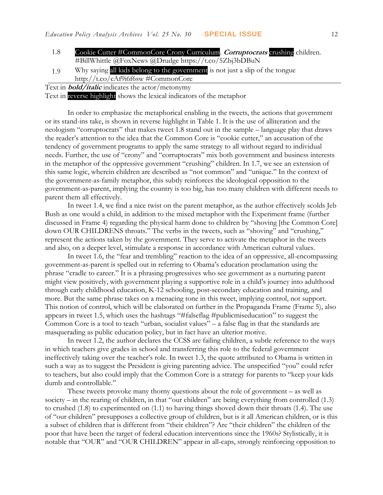- 1.8 Cookie Cutter #CommonCore Crony Curriculum. **Corruptocrats** crushing children. #BillWhittle @FoxNews @Drudge https://t.co/5Zbj3bDBuN
- 1.9 Why saying all kids belong to the government is not just a slip of the tongue http://t.co/cAf9i6f6sw #CommonCore
- Text in **bold/italic** indicates the actor/metonymy

Text in reverse highlight shows the lexical indicators of the metaphor

In order to emphasize the metaphorical enabling in the tweets, the actions that government or its stand-ins take, is shown in reverse highlight in Table 1. It is the use of alliteration and the neologism "corruptocrats" that makes tweet 1.8 stand out in the sample – language play that draws the reader's attention to the idea that the Common Core is "cookie cutter," an accusation of the tendency of government programs to apply the same strategy to all without regard to individual needs. Further, the use of "crony" and "corruptocrats" mix both government and business interests in the metaphor of the oppressive government "crushing" children. In 1.7, we see an extension of this same logic, wherein children are described as "not common" and "unique." In the context of the government-as-family metaphor, this subtly reinforces the ideological opposition to the government-as-parent, implying the country is too big, has too many children with different needs to parent them all effectively.

In tweet 1.4, we find a nice twist on the parent metaphor, as the author effectively scolds Jeb Bush as one would a child, in addition to the mixed metaphor with the Experiment frame (further discussed in Frame 4) regarding the physical harm done to children by "shoving [the Common Core] down OUR CHILDRENS throats." The verbs in the tweets, such as "shoving" and "crushing," represent the actions taken by the government. They serve to activate the metaphor in the tweets and also, on a deeper level, stimulate a response in accordance with American cultural values.

In tweet 1.6, the "fear and trembling" reaction to the idea of an oppressive, all-encompassing government-as-parent is spelled out in referring to Obama's education proclamation using the phrase "cradle to career." It is a phrasing progressives who see government as a nurturing parent might view positively, with government playing a supportive role in a child's journey into adulthood through early childhood education, K-12 schooling, post-secondary education and training, and more. But the same phrase takes on a menacing tone in this tweet, implying control, not support. This notion of control, which will be elaborated on further in the Propaganda Frame (Frame 5), also appears in tweet 1.5, which uses the hashtags "#falseflag #publicmiseducation" to suggest the Common Core is a tool to teach "urban, socialist values" – a false flag in that the standards are masquerading as public education policy, but in fact have an ulterior motive.

In tweet 1.2, the author declares the CCSS are failing children, a subtle reference to the ways in which teachers give grades in school and transferring this role to the federal government ineffectively taking over the teacher's role. In tweet 1.3, the quote attributed to Obama is written in such a way as to suggest the President is giving parenting advice. The unspecified "you" could refer to teachers, but also could imply that the Common Core is a strategy for parents to "keep your kids dumb and controllable."

These tweets provoke many thorny questions about the role of government – as well as society – in the rearing of children, in that "our children" are being everything from controlled (1.3) to crushed (1.8) to experimented on (1.1) to having things shoved down their throats (1.4). The use of "our children" presupposes a collective group of children, but is it all American children, or is this a subset of children that is different from "their children"? Are "their children" the children of the poor that have been the target of federal education interventions since the 1960s? Stylistically, it is notable that "OUR" and "OUR CHILDREN" appear in all-caps, strongly reinforcing opposition to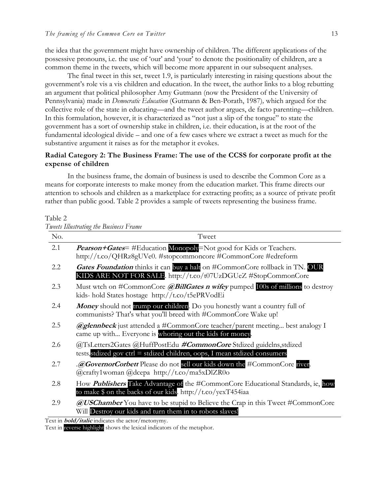the idea that the government might have ownership of children. The different applications of the possessive pronouns, i.e. the use of 'our' and 'your' to denote the positionality of children, are a common theme in the tweets, which will become more apparent in our subsequent analyses.

The final tweet in this set, tweet 1.9, is particularly interesting in raising questions about the government's role vis a vis children and education. In the tweet, the author links to a blog rebutting an argument that political philosopher Amy Gutmann (now the President of the University of Pennsylvania) made in *Democratic Education* (Gutmann & Ben-Porath, 1987)*,* which argued for the collective role of the state in educating—and the tweet author argues, de facto parenting—children. In this formulation, however, it is characterized as "not just a slip of the tongue" to state the government has a sort of ownership stake in children, i.e. their education, is at the root of the fundamental ideological divide – and one of a few cases where we extract a tweet as much for the substantive argument it raises as for the metaphor it evokes.

## **Radial Category 2: The Business Frame: The use of the CCSS for corporate profit at the expense of children**

In the business frame, the domain of business is used to describe the Common Core as a means for corporate interests to make money from the education market. This frame directs our attention to schools and children as a marketplace for extracting profits; as a source of private profit rather than public good. Table 2 provides a sample of tweets representing the business frame.

Table 2

*Tweets Illustrating the Business Frame*

| No. | Tweet                                                                                                                                                 |
|-----|-------------------------------------------------------------------------------------------------------------------------------------------------------|
| 2.1 | <b>Pearson+Gates=</b> #Education Monopoly=Not good for Kids or Teachers.<br>http://t.co/QHRz8gUVe0. #stopcommoncore #CommonCore #edreform             |
| 2.2 | Gates Foundation thinks it can buy a halt on #CommonCore rollback in TN. OUR<br>KIDS ARE NOT FOR SALE. http://t.co/t07UzDGUeZ #StopCommonCore         |
| 2.3 | Must wtch on #CommonCore @BillGates n wifey pumped 100s of millions to destroy<br>kids- hold States hostage http://t.co/t5ePRVodEi                    |
| 2.4 | Money should not trump our children. Do you honestly want a country full of<br>communists? That's what you'll breed with #CommonCore Wake up!         |
| 2.5 | <b>@glennbeck</b> just attended a #CommonCore teacher/parent meeting best analogy I<br>came up with Everyone is whoring out the kids for money.       |
| 2.6 | @TsLetters2Gates @HuffPostEdu #CommonCore Stdized guidelns, stdized<br>tests, stdized gov ctrl = stdized children, oops, I mean stdized consumers     |
| 2.7 | .@GovernorCorbett Please do not sell our kids down the #CommonCore river.<br>@crafty1woman @dcepa http://t.co/ma5xDlZR0o                              |
| 2.8 | How <i>Publishers</i> Take Advantage of the #CommonCore Educational Standards, ie, how<br>to make \$ on the backs of our kids. http://t.co/yexT454iaa |
| 2.9 | <b>@USChamber</b> You have to be stupid to Believe the Crap in this Tweet #CommonCore<br>Will Destroy our kids and turn them in to robots slaves!     |

Text in **bold/italic** indicates the actor/metonymy.

Text in reverse highlight shows the lexical indicators of the metaphor.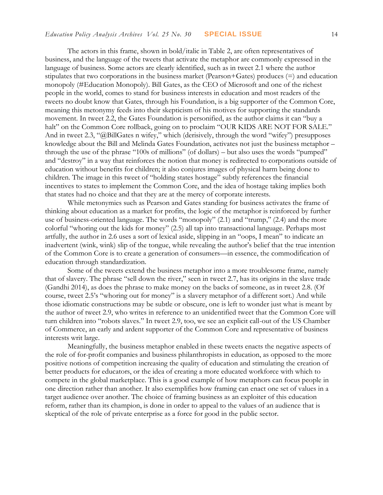The actors in this frame, shown in bold/italic in Table 2, are often representatives of business, and the language of the tweets that activate the metaphor are commonly expressed in the language of business. Some actors are clearly identified, such as in tweet 2.1 where the author stipulates that two corporations in the business market (Pearson+Gates) produces (=) and education monopoly (#Education Monopoly). Bill Gates, as the CEO of Microsoft and one of the richest people in the world, comes to stand for business interests in education and most readers of the tweets no doubt know that Gates, through his Foundation, is a big supporter of the Common Core, meaning this metonymy feeds into their skepticism of his motives for supporting the standards movement. In tweet 2.2, the Gates Foundation is personified, as the author claims it can "buy a halt" on the Common Core rollback, going on to proclaim "OUR KIDS ARE NOT FOR SALE." And in tweet 2.3, "@BillGates n wifey," which (derisively, through the word "wifey") presupposes knowledge about the Bill and Melinda Gates Foundation, activates not just the business metaphor – through the use of the phrase "100s of millions" (of dollars) – but also uses the words "pumped" and "destroy" in a way that reinforces the notion that money is redirected to corporations outside of education without benefits for children; it also conjures images of physical harm being done to children. The image in this tweet of "holding states hostage" subtly references the financial incentives to states to implement the Common Core, and the idea of hostage taking implies both that states had no choice and that they are at the mercy of corporate interests.

While metonymies such as Pearson and Gates standing for business activates the frame of thinking about education as a market for profits, the logic of the metaphor is reinforced by further use of business-oriented language. The words "monopoly" (2.1) and "trump," (2.4) and the more colorful "whoring out the kids for money" (2.5) all tap into transactional language. Perhaps most artfully, the author in 2.6 uses a sort of lexical aside, slipping in an "oops, I mean" to indicate an inadvertent (wink, wink) slip of the tongue, while revealing the author's belief that the true intention of the Common Core is to create a generation of consumers—in essence, the commodification of education through standardization.

Some of the tweets extend the business metaphor into a more troublesome frame, namely that of slavery. The phrase "sell down the river," seen in tweet 2.7, has its origins in the slave trade (Gandhi 2014), as does the phrase to make money on the backs of someone, as in tweet 2.8. (Of course, tweet 2.5's "whoring out for money" is a slavery metaphor of a different sort.) And while those idiomatic constructions may be subtle or obscure, one is left to wonder just what is meant by the author of tweet 2.9, who writes in reference to an unidentified tweet that the Common Core will turn children into "robots slaves." In tweet 2.9, too, we see an explicit call-out of the US Chamber of Commerce, an early and ardent supporter of the Common Core and representative of business interests writ large.

Meaningfully, the business metaphor enabled in these tweets enacts the negative aspects of the role of for-profit companies and business philanthropists in education, as opposed to the more positive notions of competition increasing the quality of education and stimulating the creation of better products for educators, or the idea of creating a more educated workforce with which to compete in the global marketplace. This is a good example of how metaphors can focus people in one direction rather than another. It also exemplifies how framing can enact one set of values in a target audience over another. The choice of framing business as an exploiter of this education reform, rather than its champion, is done in order to appeal to the values of an audience that is skeptical of the role of private enterprise as a force for good in the public sector.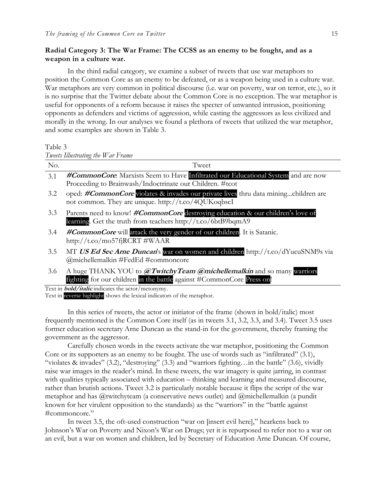## **Radial Category 3: The War Frame: The CCSS as an enemy to be fought, and as a weapon in a culture war.**

In the third radial category, we examine a subset of tweets that use war metaphors to position the Common Core as an enemy to be defeated, or as a weapon being used in a culture war. War metaphors are very common in political discourse (i.e. war on poverty, war on terror, etc.), so it is no surprise that the Twitter debate about the Common Core is no exception. The war metaphor is useful for opponents of a reform because it raises the specter of unwanted intrusion, positioning opponents as defenders and victims of aggression, while casting the aggressors as less civilized and morally in the wrong. In our analyses we found a plethora of tweets that utilized the war metaphor, and some examples are shown in Table 3.

Table 3

*Tweets Illustrating the War Frame*

| No. | Tweet                                                                                                                                           |
|-----|-------------------------------------------------------------------------------------------------------------------------------------------------|
| 3.1 | #CommonCore: Marxists Seem to Have Infiltrated our Educational System and are now                                                               |
|     | Proceeding to Brainwash/Indoctrinate our Children. #tcot                                                                                        |
| 3.2 | oped: #CommonCore violates & invades our private lives thru data miningchildren are<br>not common. They are unique. http://t.co/4QUKoqbscI      |
| 3.3 | Parents need to know! #CommonCore destroying education & our children's love of<br>learning. Get the truth from teachers http://t.co/6btB9bqmA9 |
| 3.4 | #CommonCore will attack the very gender of our children. It is Satanic.<br>http://t.co/mo57f <sub>1</sub> RCRT #WAAR                            |
| 3.5 | MT US Ed Sec Arne Duncan's war on women and children http://t.co/dYucuSNM9s via<br>@michellemalkin #FedEd #commoncore                           |
| 3.6 | A huge THANK YOU to @TwitchyTeam @michellemalkin and so many warriors<br>fighting for our children in the battle against #CommonCore Press on!  |

Text in **bold/italic** indicates the actor/metonymy.

Text in reverse highlight shows the lexical indicators of the metaphor.

In this series of tweets, the actor or initiator of the frame (shown in bold/italic) most frequently mentioned is the Common Core itself (as in tweets 3.1, 3.2, 3.3, and 3.4). Tweet 3.5 uses former education secretary Arne Duncan as the stand-in for the government, thereby framing the government as the aggressor.

Carefully chosen words in the tweets activate the war metaphor, positioning the Common Core or its supporters as an enemy to be fought. The use of words such as "infiltrated" (3.1), "violates & invades" (3.2), "destroying" (3.3) and "warriors fighting…in the battle" (3.6), vividly raise war images in the reader's mind. In these tweets, the war imagery is quite jarring, in contrast with qualities typically associated with education – thinking and learning and measured discourse, rather than brutish actions. Tweet 3.2 is particularly notable because it flips the script of the war metaphor and has @twitchyteam (a conservative news outlet) and @michellemalkin (a pundit known for her virulent opposition to the standards) as the "warriors" in the "battle against #commoncore."

In tweet 3.5, the oft-used construction "war on [insert evil here]," hearkens back to Johnson's War on Poverty and Nixon's War on Drugs; yet it is repurposed to refer not to a war on an evil, but a war on women and children, led by Secretary of Education Arne Duncan. Of course,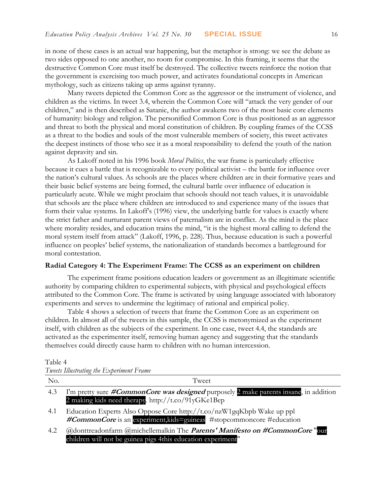in none of these cases is an actual war happening, but the metaphor is strong: we see the debate as two sides opposed to one another, no room for compromise. In this framing, it seems that the destructive Common Core must itself be destroyed. The collective tweets reinforce the notion that the government is exercising too much power, and activates foundational concepts in American mythology, such as citizens taking up arms against tyranny.

Many tweets depicted the Common Core as the aggressor or the instrument of violence, and children as the victims. In tweet 3.4, wherein the Common Core will "attack the very gender of our children," and is then described as Satanic, the author awakens two of the most basic core elements of humanity: biology and religion. The personified Common Core is thus positioned as an aggressor and threat to both the physical and moral constitution of children. By coupling frames of the CCSS as a threat to the bodies and souls of the most vulnerable members of society, this tweet activates the deepest instincts of those who see it as a moral responsibility to defend the youth of the nation against depravity and sin.

As Lakoff noted in his 1996 book *Moral Politics*, the war frame is particularly effective because it cues a battle that is recognizable to every political activist – the battle for influence over the nation's cultural values. As schools are the places where children are in their formative years and their basic belief systems are being formed, the cultural battle over influence of education is particularly acute. While we might proclaim that schools should not teach values, it is unavoidable that schools are the place where children are introduced to and experience many of the issues that form their value systems. In Lakoff's (1996) view, the underlying battle for values is exactly where the strict father and nurturant parent views of paternalism are in conflict. As the mind is the place where morality resides, and education trains the mind, "it is the highest moral calling to defend the moral system itself from attack" (Lakoff, 1996, p. 228). Thus, because education is such a powerful influence on peoples' belief systems, the nationalization of standards becomes a battleground for moral contestation.

#### **Radial Category 4: The Experiment Frame: The CCSS as an experiment on children**

The experiment frame positions education leaders or government as an illegitimate scientific authority by comparing children to experimental subjects, with physical and psychological effects attributed to the Common Core. The frame is activated by using language associated with laboratory experiments and serves to undermine the legitimacy of rational and empirical policy.

Table 4 shows a selection of tweets that frame the Common Core as an experiment on children. In almost all of the tweets in this sample, the CCSS is metonymized as the experiment itself, with children as the subjects of the experiment. In one case, tweet 4.4, the standards are activated as the experimenter itself, removing human agency and suggesting that the standards themselves could directly cause harm to children with no human intercession.

| `able |  |
|-------|--|
|-------|--|

*Tweets Illustrating the Experiment Frame* 

| No. | Tweet                                                                                                                                              |
|-----|----------------------------------------------------------------------------------------------------------------------------------------------------|
| 4.3 | I'm pretty sure #CommonCore was designed purposely 2 make parents insane, in addition<br>2 making kids need therapy. http://t.co/91yGKe1Bep        |
| 4.1 | Education Experts Also Oppose Core http://t.co/nzW1gqKbpb Wake up ppl<br>#CommonCore is an experiment, kids=guineas #stopcommoncore #education     |
| 4.2 | @donttreadonfarm @michellemalkin The <i>Parents' Manifesto on #CommonCore</i> "our<br>children will not be guinea pigs 4this education experiment" |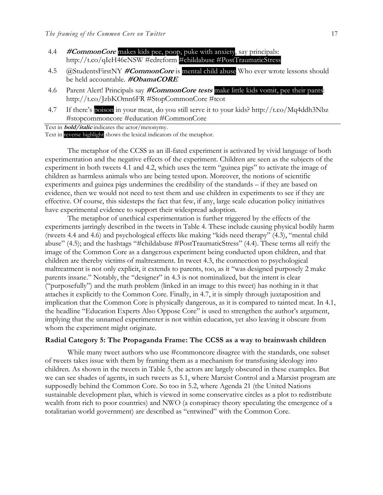- 4.4 **#CommonCore** makes kids pee, poop, puke with anxiety, say principals: http://t.co/qIeH46eNSW #edreform #childabuse #PostTraumaticStress
- 4.5 @StudentsFirstNY **#CommonCore** is mental child abuse Who ever wrote lessons should be held accountable. **#ObamaCORE**
- 4.6 Parent Alert! Principals say **#CommonCore tests** make little kids vomit, pee their pants: http://t.co/JzbKOmn6FR #StopCommonCore #tcot
- 4.7 If there's poison in your meat, do you still serve it to your kids? http://t.co/Mq4ddh3Nbz #stopcommoncore #education #CommonCore

Text in **bold/italic** indicates the actor/metonymy.

Text in reverse highlight shows the lexical indicators of the metaphor.

The metaphor of the CCSS as an ill-fated experiment is activated by vivid language of both experimentation and the negative effects of the experiment. Children are seen as the subjects of the experiment in both tweets 4.1 and 4.2, which uses the term "guinea pigs" to activate the image of children as harmless animals who are being tested upon. Moreover, the notions of scientific experiments and guinea pigs undermines the credibility of the standards – if they are based on evidence, then we would not need to test them and use children in experiments to see if they are effective. Of course, this sidesteps the fact that few, if any, large scale education policy initiatives have experimental evidence to support their widespread adoption.

The metaphor of unethical experimentation is further triggered by the effects of the experiments jarringly described in the tweets in Table 4. These include causing physical bodily harm (tweets 4.4 and 4.6) and psychological effects like making "kids need therapy" (4.3), "mental child abuse" (4.5); and the hashtags "#childabuse #PostTraumaticStress" (4.4). These terms all reify the image of the Common Core as a dangerous experiment being conducted upon children, and that children are thereby victims of maltreatment. In tweet 4.3, the connection to psychological maltreatment is not only explicit, it extends to parents, too, as it "was designed purposely 2 make parents insane." Notably, the "designer" in 4.3 is not nominalized, but the intent is clear ("purposefully") and the math problem (linked in an image to this tweet) has nothing in it that attaches it explicitly to the Common Core. Finally, in 4.7, it is simply through juxtaposition and implication that the Common Core is physically dangerous, as it is compared to tainted meat. In 4.1, the headline "Education Experts Also Oppose Core" is used to strengthen the author's argument, implying that the unnamed experimenter is not within education, yet also leaving it obscure from whom the experiment might originate.

#### **Radial Category 5: The Propaganda Frame: The CCSS as a way to brainwash children**

While many tweet authors who use #commoncore disagree with the standards, one subset of tweets takes issue with them by framing them as a mechanism for transfusing ideology into children. As shown in the tweets in Table 5, the actors are largely obscured in these examples. But we can see shades of agents, in such tweets as 5.1, where Marxist Control and a Marxist program are supposedly behind the Common Core. So too in 5.2, where Agenda 21 (the United Nations sustainable development plan, which is viewed in some conservative circles as a plot to redistribute wealth from rich to poor countries) and NWO (a conspiracy theory speculating the emergence of a totalitarian world government) are described as "entwined" with the Common Core.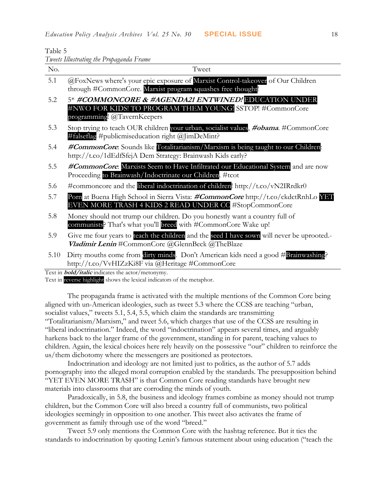Table 5

|  |  |  | Tweets Illustrating the Propaganda Frame |
|--|--|--|------------------------------------------|
|  |  |  |                                          |

| No.  | Tweet                                                                                                                                           |
|------|-------------------------------------------------------------------------------------------------------------------------------------------------|
| 5.1  | @FoxNews where's your epic exposure of Marxist Control-takeover of Our Children<br>through #CommonCore. Marxist program squashes free thought!  |
| 5.2  | 5* #COMMONCORE & #AGENDA21 ENTWINED! EDUCATION UNDER<br>#NWO FOR KIDS! TO PROGRAM THEM YOUNG! SSTOP! #CommonCore<br>programming! @TavernKeepers |
| 5.3  | Stop trying to teach OUR children your urban, socialist values, #obama. #CommonCore<br>#falseflag #publicmiseducation right $(a)$ limDeMint?    |
| 5.4  | #CommonCore: Sounds like Totalitarianism/Marxism is being taught to our Children:<br>http://t.co/1dEdfSfejA Dem Strategy: Brainwash Kids early? |
| 5.5  | #CommonCore. Marxists Seem to Have Infiltrated our Educational System and are now<br>Proceeding to Brainwash/Indoctrinate our Children. #tcot   |
| 5.6  | #commoncore and the liberal indoctrination of children! http://t.co/vN2IRrdkr0                                                                  |
| 5.7  | Porn at Buena High School in Sierra Vista: #CommonCore http://t.co/ckdctRnhLo YET<br>EVEN MORE TRASH 4 KIDS 2 READ UNDER CC #StopCommonCore     |
| 5.8  | Money should not trump our children. Do you honestly want a country full of<br>communists? That's what you'll breed with #CommonCore Wake up!   |
| 5.9  | Give me four years to teach the children and the seed I have sown will never be uprooted.-<br>Vladimir Lenin #CommonCore @GlennBeck @TheBlaze   |
| 5.10 | Dirty mouths come from dirty minds. Don't American kids need a good #Brainwashing?<br>http://t.co/VvHIZzKi8F via @Heritage #CommonCore          |

Text in **bold/italic** indicates the actor/metonymy.

Text in reverse highlight shows the lexical indicators of the metaphor.

The propaganda frame is activated with the multiple mentions of the Common Core being aligned with un-American ideologies, such as tweet 5.3 where the CCSS are teaching "urban, socialist values," tweets 5.1, 5.4, 5.5, which claim the standards are transmitting "Totalitarianism/Marxism," and tweet 5.6, which charges that use of the CCSS are resulting in "liberal indoctrination." Indeed, the word "indoctrination" appears several times, and arguably harkens back to the larger frame of the government, standing in for parent, teaching values to children. Again, the lexical choices here rely heavily on the possessive "our" children to reinforce the us/them dichotomy where the messengers are positioned as protectors.

Indoctrination and ideology are not limited just to politics, as the author of 5.7 adds pornography into the alleged moral corruption enabled by the standards. The presupposition behind "YET EVEN MORE TRASH" is that Common Core reading standards have brought new materials into classrooms that are corroding the minds of youth.

Paradoxically, in 5.8, the business and ideology frames combine as money should not trump children, but the Common Core will also breed a country full of communists, two political ideologies seemingly in opposition to one another. This tweet also activates the frame of government as family through use of the word "breed."

Tweet 5.9 only mentions the Common Core with the hashtag reference. But it ties the standards to indoctrination by quoting Lenin's famous statement about using education ("teach the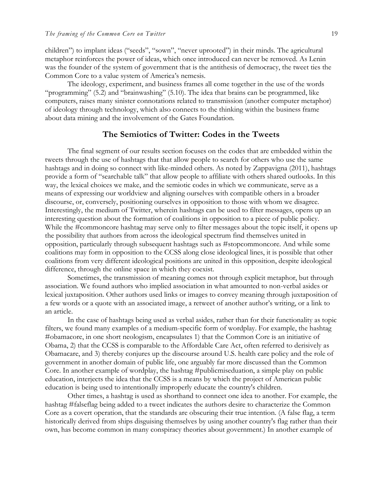children") to implant ideas ("seeds", "sown", "never uprooted") in their minds. The agricultural metaphor reinforces the power of ideas, which once introduced can never be removed. As Lenin was the founder of the system of government that is the antithesis of democracy, the tweet ties the Common Core to a value system of America's nemesis.

The ideology, experiment, and business frames all come together in the use of the words "programming" (5.2) and "brainwashing" (5.10). The idea that brains can be programmed, like computers, raises many sinister connotations related to transmission (another computer metaphor) of ideology through technology, which also connects to the thinking within the business frame about data mining and the involvement of the Gates Foundation.

## **The Semiotics of Twitter: Codes in the Tweets**

The final segment of our results section focuses on the codes that are embedded within the tweets through the use of hashtags that that allow people to search for others who use the same hashtags and in doing so connect with like-minded others. As noted by Zappavigna (2011), hashtags provide a form of "searchable talk" that allow people to affiliate with others shared outlooks. In this way, the lexical choices we make, and the semiotic codes in which we communicate, serve as a means of expressing our worldview and aligning ourselves with compatible others in a broader discourse, or, conversely, positioning ourselves in opposition to those with whom we disagree. Interestingly, the medium of Twitter, wherein hashtags can be used to filter messages, opens up an interesting question about the formation of coalitions in opposition to a piece of public policy. While the #commoncore hashtag may serve only to filter messages about the topic itself, it opens up the possibility that authors from across the ideological spectrum find themselves united in opposition, particularly through subsequent hashtags such as #stopcommoncore. And while some coalitions may form in opposition to the CCSS along close ideological lines, it is possible that other coalitions from very different ideological positions are united in this opposition, despite ideological difference, through the online space in which they coexist.

Sometimes, the transmission of meaning comes not through explicit metaphor, but through association. We found authors who implied association in what amounted to non-verbal asides or lexical juxtaposition. Other authors used links or images to convey meaning through juxtaposition of a few words or a quote with an associated image, a retweet of another author's writing, or a link to an article.

In the case of hashtags being used as verbal asides, rather than for their functionality as topic filters, we found many examples of a medium-specific form of wordplay. For example, the hashtag #obamacore, in one short neologism, encapsulates 1) that the Common Core is an initiative of Obama, 2) that the CCSS is comparable to the Affordable Care Act, often referred to derisively as Obamacare, and 3) thereby conjures up the discourse around U.S. health care policy and the role of government in another domain of public life, one arguably far more discussed than the Common Core. In another example of wordplay, the hashtag #publicmiseduation, a simple play on public education, interjects the idea that the CCSS is a means by which the project of American public education is being used to intentionally improperly educate the country's children.

Other times, a hashtag is used as shorthand to connect one idea to another. For example, the hashtag #falseflag being added to a tweet indicates the authors desire to characterize the Common Core as a covert operation, that the standards are obscuring their true intention. (A false flag, a term historically derived from ships disguising themselves by using another country's flag rather than their own, has become common in many conspiracy theories about government.) In another example of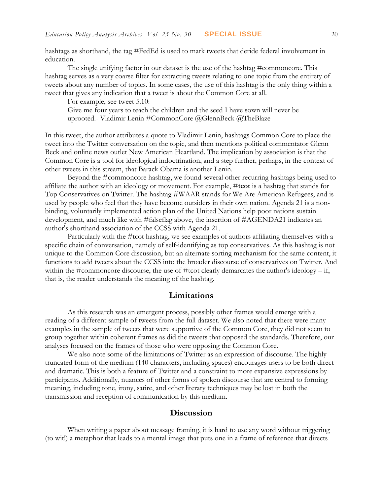hashtags as shorthand, the tag #FedEd is used to mark tweets that deride federal involvement in education.

The single unifying factor in our dataset is the use of the hashtag #commoncore. This hashtag serves as a very coarse filter for extracting tweets relating to one topic from the entirety of tweets about any number of topics. In some cases, the use of this hashtag is the only thing within a tweet that gives any indication that a tweet is about the Common Core at all.

For example, see tweet 5.10:

Give me four years to teach the children and the seed I have sown will never be uprooted.- Vladimir Lenin #CommonCore @GlennBeck @TheBlaze

In this tweet, the author attributes a quote to Vladimir Lenin, hashtags Common Core to place the tweet into the Twitter conversation on the topic, and then mentions political commentator Glenn Beck and online news outlet New American Heartland. The implication by association is that the Common Core is a tool for ideological indoctrination, and a step further, perhaps, in the context of other tweets in this stream, that Barack Obama is another Lenin.

Beyond the #commoncore hashtag, we found several other recurring hashtags being used to affiliate the author with an ideology or movement. For example, #**tcot** is a hashtag that stands for Top Conservatives on Twitter. The hashtag #WAAR stands for We Are American Refugees, and is used by people who feel that they have become outsiders in their own nation. Agenda 21 is a nonbinding, voluntarily implemented action plan of the United Nations help poor nations sustain development, and much like with #falseflag above, the insertion of #AGENDA21 indicates an author's shorthand association of the CCSS with Agenda 21.

Particularly with the #tcot hashtag, we see examples of authors affiliating themselves with a specific chain of conversation, namely of self-identifying as top conservatives. As this hashtag is not unique to the Common Core discussion, but an alternate sorting mechanism for the same content, it functions to add tweets about the CCSS into the broader discourse of conservatives on Twitter. And within the #commoncore discourse, the use of #tcot clearly demarcates the author's ideology – if, that is, the reader understands the meaning of the hashtag.

#### **Limitations**

As this research was an emergent process, possibly other frames would emerge with a reading of a different sample of tweets from the full dataset. We also noted that there were many examples in the sample of tweets that were supportive of the Common Core, they did not seem to group together within coherent frames as did the tweets that opposed the standards. Therefore, our analyses focused on the frames of those who were opposing the Common Core.

We also note some of the limitations of Twitter as an expression of discourse. The highly truncated form of the medium (140 characters, including spaces) encourages users to be both direct and dramatic. This is both a feature of Twitter and a constraint to more expansive expressions by participants. Additionally, nuances of other forms of spoken discourse that are central to forming meaning, including tone, irony, satire, and other literary techniques may be lost in both the transmission and reception of communication by this medium.

#### **Discussion**

When writing a paper about message framing, it is hard to use any word without triggering (to wit!) a metaphor that leads to a mental image that puts one in a frame of reference that directs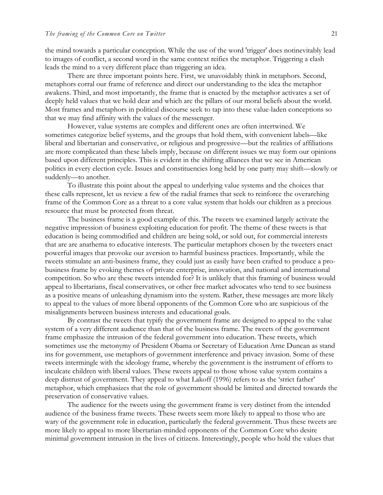the mind towards a particular conception. While the use of the word 'trigger' does notinevitably lead to images of conflict, a second word in the same context reifies the metaphor. Triggering a clash leads the mind to a very different place than triggering an idea.

There are three important points here. First, we unavoidably think in metaphors. Second, metaphors corral our frame of reference and direct our understanding to the idea the metaphor awakens. Third, and most importantly, the frame that is enacted by the metaphor activates a set of deeply held values that we hold dear and which are the pillars of our moral beliefs about the world. Most frames and metaphors in political discourse seek to tap into these value-laden conceptions so that we may find affinity with the values of the messenger.

However, value systems are complex and different ones are often intertwined. We sometimes categorize belief systems, and the groups that hold them, with convenient labels—like liberal and libertarian and conservative, or religious and progressive—but the realities of affiliations are more complicated than these labels imply, because on different issues we may form our opinions based upon different principles. This is evident in the shifting alliances that we see in American politics in every election cycle. Issues and constituencies long held by one party may shift—slowly or suddenly—to another.

To illustrate this point about the appeal to underlying value systems and the choices that these calls represent, let us review a few of the radial frames that seek to reinforce the overarching frame of the Common Core as a threat to a core value system that holds our children as a precious resource that must be protected from threat.

The business frame is a good example of this. The tweets we examined largely activate the negative impression of business exploiting education for profit. The theme of these tweets is that education is being commodified and children are being sold, or sold out, for commercial interests that are are anathema to educative interests. The particular metaphors chosen by the tweeters enact powerful images that provoke our aversion to harmful business practices. Importantly, while the tweets stimulate an anti-business frame, they could just as easily have been crafted to produce a probusiness frame by evoking themes of private enterprise, innovation, and national and international competition. So who are these tweets intended for? It is unlikely that this framing of business would appeal to libertarians, fiscal conservatives, or other free market advocates who tend to see business as a positive means of unleashing dynamism into the system. Rather, these messages are more likely to appeal to the values of more liberal opponents of the Common Core who are suspicious of the misalignments between business interests and educational goals.

By contrast the tweets that typify the government frame are designed to appeal to the value system of a very different audience than that of the business frame. The tweets of the government frame emphasize the intrusion of the federal government into education. These tweets, which sometimes use the metonymy of President Obama or Secretary of Education Arne Duncan as stand ins for government, use metaphors of government interference and privacy invasion. Some of these tweets intermingle with the ideology frame, whereby the government is the instrument of efforts to inculcate children with liberal values. These tweets appeal to those whose value system contains a deep distrust of government. They appeal to what Lakoff (1996) refers to as the 'strict father' metaphor, which emphasizes that the role of government should be limited and directed towards the preservation of conservative values.

The audience for the tweets using the government frame is very distinct from the intended audience of the business frame tweets. These tweets seem more likely to appeal to those who are wary of the government role in education, particularly the federal government. Thus these tweets are more likely to appeal to more libertarian-minded opponents of the Common Core who desire minimal government intrusion in the lives of citizens. Interestingly, people who hold the values that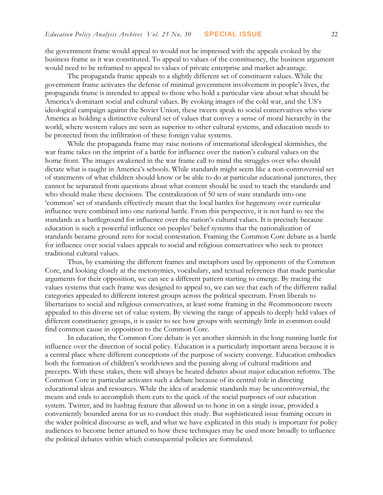the government frame would appeal to would not be impressed with the appeals evoked by the business frame as it was constituted. To appeal to values of the constituency, the business argument would need to be reframed to appeal to values of private enterprise and market advantage.

The propaganda frame appeals to a slightly different set of constituent values. While the government frame activates the defense of minimal government involvement in people's lives, the propaganda frame is intended to appeal to those who hold a particular view about what should be America's dominant social and cultural values. By evoking images of the cold war, and the US's ideological campaign against the Soviet Union, these tweets speak to social conservatives who view America as holding a distinctive cultural set of values that convey a sense of moral hierarchy in the world, where western values are seen as superior to other cultural systems, and education needs to be protected from the infiltration of these foreign value systems.

While the propaganda frame may raise notions of international ideological skirmishes, the war frame takes on the imprint of a battle for influence over the nation's cultural values on the home front. The images awakened in the war frame call to mind the struggles over who should dictate what is taught in America's schools. While standards might seem like a non-controversial set of statements of what children should know or be able to do at particular educational junctures, they cannot be separated from questions about what content should be used to teach the standards and who should make these decisions. The centralization of 50 sets of state standards into one 'common' set of standards effectively meant that the local battles for hegemony over curricular influence were combined into one national battle. From this perspective, it is not hard to see the standards as a battleground for influence over the nation's cultural values. It is precisely because education is such a powerful influence on peoples' belief systems that the nationalization of standards became ground zero for social contestation. Framing the Common Core debate as a battle for influence over social values appeals to social and religious conservatives who seek to protect traditional cultural values.

Thus, by examining the different frames and metaphors used by opponents of the Common Core, and looking closely at the metonymies, vocabulary, and textual references that made particular arguments for their opposition, we can see a different pattern starting to emerge. By tracing the values systems that each frame was designed to appeal to, we can see that each of the different radial categories appealed to different interest groups across the political spectrum. From liberals to libertarians to social and religious conservatives, at least some framing in the #commoncore tweets appealed to this diverse set of value system. By viewing the range of appeals to deeply held values of different constituency groups, it is easier to see how groups with seemingly little in common could find common cause in opposition to the Common Core.

In education, the Common Core debate is yet another skirmish in the long running battle for influence over the direction of social policy. Education is a particularly important arena because it is a central place where different conceptions of the purpose of society converge. Education embodies both the formation of children's worldviews and the passing along of cultural traditions and precepts. With these stakes, there will always be heated debates about major education reforms. The Common Core in particular activates such a debate because of its central role in directing educational ideas and resources. While the idea of academic standards may be uncontroversial, the means and ends to accomplish them cuts to the quick of the social purposes of our education system. Twitter, and its hashtag feature that allowed us to hone in on a single issue, provided a conveniently bounded arena for us to conduct this study. But sophisticated issue framing occurs in the wider political discourse as well, and what we have explicated in this study is important for policy audiences to become better attuned to how these techniques may be used more broadly to influence the political debates within which consequential policies are formulated.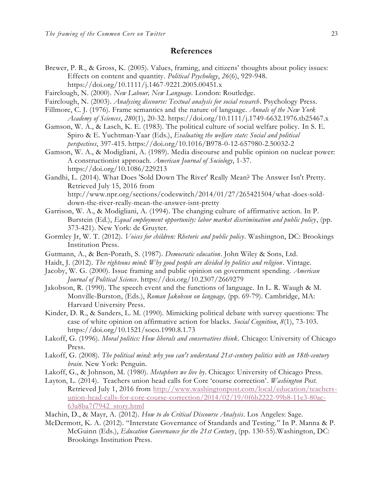## **References**

- Brewer, P. R., & Gross, K. (2005). Values, framing, and citizens' thoughts about policy issues: Effects on content and quantity. *Political Psychology*, *26*(6), 929-948. https://doi.org/10.1111/j.1467-9221.2005.00451.x
- Fairclough, N. (2000). *New Labour, New Language.* London: Routledge.
- Fairclough, N. (2003). *Analysing discourse: Textual analysis for social research*. Psychology Press.
- Fillmore, C. J. (1976). Frame semantics and the nature of language. *Annals of the New York Academy of Sciences*, *280*(1), 20-32. https://doi.org/10.1111/j.1749-6632.1976.tb25467.x
- Gamson, W. A., & Lasch, K. E. (1983). The political culture of social welfare policy. In S. E. Spiro & E. Yuchtman-Yaar (Eds.), *Evaluating the welfare state: Social and political perspectives*, 397-415. https://doi.org/10.1016/B978-0-12-657980-2.50032-2
- Gamson, W. A., & Modigliani, A. (1989). Media discourse and public opinion on nuclear power: A constructionist approach. *American Journal of Sociology*, 1-37. https://doi.org/10.1086/229213
- Gandhi, L. (2014). What Does 'Sold Down The River' Really Mean? The Answer Isn't Pretty. Retrieved July 15, 2016 from [http://www.npr.org/sections/codeswitch/2014/01/27/265421504/what-does-sold](http://www.npr.org/sections/codeswitch/2014/01/27/265421504/what-does-sold-down-the-river-really-mean-the-answer-isnt-pretty)[down-the-river-really-mean-the-answer-isnt-pretty](http://www.npr.org/sections/codeswitch/2014/01/27/265421504/what-does-sold-down-the-river-really-mean-the-answer-isnt-pretty)
- Garrison, W. A., & Modigliani, A. (1994). The changing culture of affirmative action. In P. Burstein (Ed.), *Equal employment opportunity: labor market discrimination and public policy*, (pp. 373-421). New York: de Gruyter.
- Gormley Jr, W. T. (2012). *Voices for children: Rhetoric and public policy*. Washington, DC: Brookings Institution Press.
- Gutmann, A., & Ben‐Porath, S. (1987). *Democratic education*. John Wiley & Sons, Ltd.
- Haidt, J. (2012). *The righteous mind: Why good people are divided by politics and religion*. Vintage.
- Jacoby, W. G. (2000). Issue framing and public opinion on government spending. *American Journal of Political Science*. https://doi.org/10.2307/2669279
- Jakobson, R. (1990). The speech event and the functions of language. In L. R. Waugh & M. Monville-Burston, (Eds.), *Roman Jakobson on language,* (pp. 69-79). Cambridge, MA: Harvard University Press.
- Kinder, D. R., & Sanders, L. M. (1990). Mimicking political debate with survey questions: The case of white opinion on affirmative action for blacks. *Social Cognition*, *8*(1), 73-103. https://doi.org/10.1521/soco.1990.8.1.73
- Lakoff, G. (1996). *Moral politics: How liberals and conservatives think*. Chicago: University of Chicago Press.
- Lakoff, G. (2008). *The political mind: why you can't understand 21st-century politics with an 18th-century brain*. New York: Penguin.
- Lakoff, G., & Johnson, M. (1980). *Metaphors we live by*. Chicago: University of Chicago Press.
- Layton, L. (2014). Teachers union head calls for Core 'course correction'. *Washington Post.* Retrieved July 1, 2016 from [http://www.washingtonpost.com/local/education/teachers](http://www.washingtonpost.com/local/education/teachers-union-head-calls-for-core-course-correction/2014/02/19/0f6b2222-99b8-11e3-80ac-63a8ba7f7942_story.html)[union-head-calls-for-core-course-correction/2014/02/19/0f6b2222-99b8-11e3-80ac-](http://www.washingtonpost.com/local/education/teachers-union-head-calls-for-core-course-correction/2014/02/19/0f6b2222-99b8-11e3-80ac-63a8ba7f7942_story.html)[63a8ba7f7942\\_story.html](http://www.washingtonpost.com/local/education/teachers-union-head-calls-for-core-course-correction/2014/02/19/0f6b2222-99b8-11e3-80ac-63a8ba7f7942_story.html)
- Machin, D., & Mayr, A. (2012). *How to do Critical Discourse Analysis*. Los Angeles: Sage.
- McDermott, K. A. (2012). "Interstate Governance of Standards and Testing." In P. Manna & P. McGuinn (Eds.), *Education Governance for the 21st Century*, (pp. 130-55).Washington, DC: Brookings Institution Press.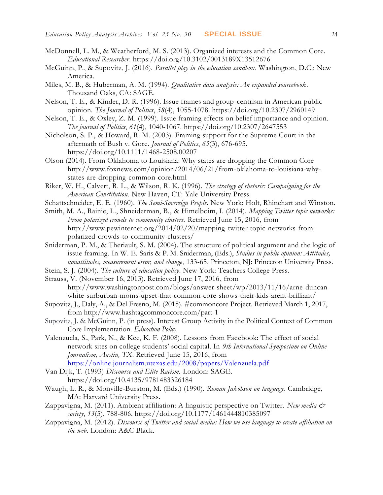- McDonnell, L. M., & Weatherford, M. S. (2013). Organized interests and the Common Core. *Educational Researcher*. https://doi.org/10.3102/0013189X13512676
- McGuinn, P., & Supovitz, J. (2016). *Parallel play in the education sandbox*. Washington, D.C.: New America.
- Miles, M. B., & Huberman, A. M. (1994). *Qualitative data analysis: An expanded sourcebook*. Thousand Oaks, CA: SAGE.
- Nelson, T. E., & Kinder, D. R. (1996). Issue frames and group-centrism in American public opinion. *The Journal of Politics*, *58*(4), 1055-1078. https://doi.org/10.2307/2960149
- Nelson, T. E., & Oxley, Z. M. (1999). Issue framing effects on belief importance and opinion. *The journal of Politics*, *61*(4), 1040-1067. <https://doi.org/10.2307/2647553>
- Nicholson, S. P., & Howard, R. M. (2003). Framing support for the Supreme Court in the aftermath of Bush v. Gore. *Journal of Politics*, *65*(3), 676-695. <https://doi.org/10.1111/1468-2508.00207>
- Olson (2014). From Oklahoma to Louisiana: Why states are dropping the Common Core http://www.foxnews.com/opinion/2014/06/21/from-oklahoma-to-louisiana-whystates-are-dropping-common-core.html
- Riker, W. H., Calvert, R. L., & Wilson, R. K. (1996). *The strategy of rhetoric: Campaigning for the American Constitution*. New Haven, CT: Yale University Press.
- Schattschneider, E. E. (1960). *The Semi-Sovereign People*. New York: Holt, Rhinehart and Winston.
- Smith, M. A., Rainie, L., Shneiderman, B., & Himelboim, I. (2014). *Mapping Twitter topic networks: From polarized crowds to community clusters.* Retrieved June 15, 2016, from [http://www.pewinternet.org/2014/02/20/mapping-twitter-topic-networks-from](http://www.pewinternet.org/2014/02/20/mapping-twitter-topic-networks-from-polarized-crowds-to-community-clusters/)[polarized-crowds-to-community-clusters/](http://www.pewinternet.org/2014/02/20/mapping-twitter-topic-networks-from-polarized-crowds-to-community-clusters/)
- Sniderman, P. M., & Theriault, S. M. (2004). The structure of political argument and the logic of issue framing. In W. E. Saris & P. M. Sniderman, (Eds.), *Studies in public opinion: Attitudes, nonattitudes, measurement error, and change*, 133-65. Princeton, NJ: Princeton University Press.
- Stein, S. J. (2004). *The culture of education policy*. New York: Teachers College Press.
- Strauss, V. (November 16, 2013). Retrieved June 17, 2016, from http://www.washingtonpost.com/blogs/answer-sheet/wp/2013/11/16/arne-duncanwhite-surburban-moms-upset-that-common-core-shows-their-kids-arent-brilliant/
- Supovitz, J., Daly, A., & Del Fresno, M. (2015). #commoncore Project. Retrieved March 1, 2017, from [http://www.hashtagcommoncore.com/part-1](http://www.hashtagcommoncore.com/)
- Supovitz, J. & McGuinn, P. (in press). Interest Group Activity in the Political Context of Common Core Implementation. *Education Policy*.
- Valenzuela, S., Park, N., & Kee, K. F. (2008). Lessons from Facebook: The effect of social network sites on college students' social capital. In *9th International Symposium on Online Journalism, Austin, TX*. Retrieved June 15, 2016, from <https://online.journalism.utexas.edu/2008/papers/Valenzuela.pdf>
- Van Dijk, T. (1993) *Discourse and Elite Racism.* London: SAGE. https://doi.org/10.4135/9781483326184
- Waugh, L. R., & Monville-Burston, M. (Eds.) (1990). *Roman Jakobson on language*. Cambridge, MA: Harvard University Press.
- Zappavigna, M. (2011). Ambient affiliation: A linguistic perspective on Twitter. *New media & society*, *13*(5), 788-806. https://doi.org/10.1177/1461444810385097
- Zappavigna, M. (2012). *Discourse of Twitter and social media: How we use language to create affiliation on the web*. London: A&C Black.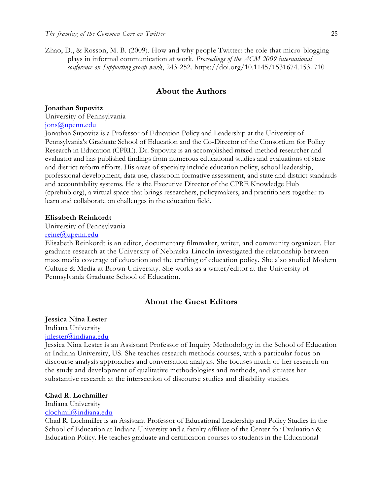Zhao, D., & Rosson, M. B. (2009). How and why people Twitter: the role that micro-blogging plays in informal communication at work. *Proceedings of the ACM 2009 international conference on Supporting group work*, 243-252. https://doi.org/10.1145/1531674.1531710

#### **About the Authors**

#### **Jonathan Supovitz**

University of Pennsylvania

## [jons@upenn.edu](mailto:jons@upenn.edu)

Jonathan Supovitz is a Professor of Education Policy and Leadership at the University of Pennsylvania's Graduate School of Education and the Co-Director of the Consortium for Policy Research in Education (CPRE). Dr. Supovitz is an accomplished mixed-method researcher and evaluator and has published findings from numerous educational studies and evaluations of state and district reform efforts. His areas of specialty include education policy, school leadership, professional development, data use, classroom formative assessment, and state and district standards and accountability systems. He is the Executive Director of the CPRE Knowledge Hub (cprehub.org), a virtual space that brings researchers, policymakers, and practitioners together to learn and collaborate on challenges in the education field.

#### **Elisabeth Reinkordt**

University of Pennsylvania

## [reine@upenn.edu](mailto:reine@upenn.edu)

Elisabeth Reinkordt is an editor, documentary filmmaker, writer, and community organizer. Her graduate research at the University of Nebraska-Lincoln investigated the relationship between mass media coverage of education and the crafting of education policy. She also studied Modern Culture & Media at Brown University. She works as a writer/editor at the University of Pennsylvania Graduate School of Education.

## **About the Guest Editors**

#### **Jessica Nina Lester**

## Indiana University

## [jnlester@indiana.edu](mailto:clochmil@indiana.edu)

Jessica Nina Lester is an Assistant Professor of Inquiry Methodology in the School of Education at Indiana University, US. She teaches research methods courses, with a particular focus on discourse analysis approaches and conversation analysis. She focuses much of her research on the study and development of qualitative methodologies and methods, and situates her substantive research at the intersection of discourse studies and disability studies.

#### **Chad R. Lochmiller**

Indiana University [clochmil@indiana.edu](mailto:clochmil@indiana.edu)

Chad R. Lochmiller is an Assistant Professor of Educational Leadership and Policy Studies in the School of Education at Indiana University and a faculty affiliate of the Center for Evaluation & Education Policy. He teaches graduate and certification courses to students in the Educational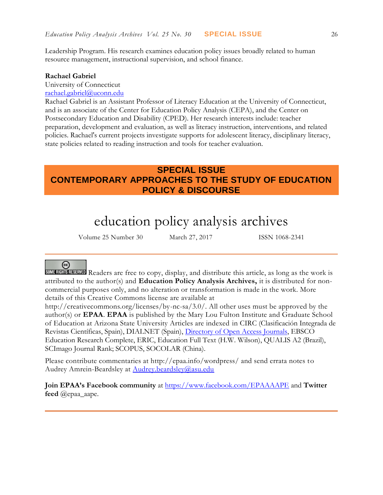Leadership Program. His research examines education policy issues broadly related to human resource management, instructional supervision, and school finance.

#### **Rachael Gabriel**

University of Connecticut

[rachael.gabriel@uconn.edu](mailto:rachael.gabriel@uconn.edu)

Rachael Gabriel is an Assistant Professor of Literacy Education at the University of Connecticut, and is an associate of the Center for Education Policy Analysis (CEPA), and the Center on Postsecondary Education and Disability (CPED). Her research interests include: teacher preparation, development and evaluation, as well as literacy instruction, interventions, and related policies. Rachael's current projects investigate supports for adolescent literacy, disciplinary literacy, state policies related to reading instruction and tools for teacher evaluation.

## **SPECIAL ISSUE CONTEMPORARY APPROACHES TO THE STUDY OF EDUCATION POLICY & DISCOURSE**

# education policy analysis archives

Volume 25 Number 30 March 27, 2017 ISSN 1068-2341

## (၀)

**SOME RIGHTS RESERVED** Readers are free to copy, display, and distribute this article, as long as the work is attributed to the author(s) and **Education Policy Analysis Archives,** it is distributed for noncommercial purposes only, and no alteration or transformation is made in the work. More details of this Creative Commons license are available at

http://creativecommons.org/licenses/by-nc-sa/3.0/. All other uses must be approved by the author(s) or **EPAA**. **EPAA** is published by the Mary Lou Fulton Institute and Graduate School of Education at Arizona State University Articles are indexed in CIRC (Clasificación Integrada de Revistas Científicas, Spain), DIALNET (Spain), [Directory of Open Access Journals,](http://www.doaj.org/) EBSCO Education Research Complete, ERIC, Education Full Text (H.W. Wilson), QUALIS A2 (Brazil), SCImago Journal Rank; SCOPUS, SOCOLAR (China).

Please contribute commentaries at http://epaa.info/wordpress/ and send errata notes to Audrey Amrein-Beardsley at [Audrey.beardsley@asu.edu](mailto:Audrey.beardsley@asu.edu)

**Join EPAA's Facebook community** at<https://www.facebook.com/EPAAAAPE> and **Twitter feed** @epaa\_aape.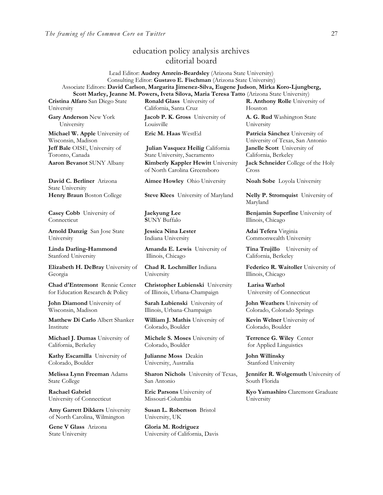## education policy analysis archives editorial board

#### Lead Editor: **Audrey Amrein-Beardsley** (Arizona State University) Consulting Editor: **Gustavo E. Fischman** (Arizona State University) Associate Editors: **David Carlson**, **Margarita Jimenez-Silva, Eugene Judson**, **Mirka Koro-Ljungberg, Scott Marley, Jeanne M. Powers, Iveta Silova, Maria Teresa Tatto** (Arizona State University)

**Cristina Alfaro** San Diego State University

**Gary Anderson** New York University

**Michael W. Apple** University of Wisconsin, Madison **Jeff Bale** OISE, University of Toronto, Canada

**David C. Berliner** Arizona State University

**Casey Cobb** University of **Connecticut** 

**Arnold Danzig** San Jose State University

**Linda Darling-Hammond**  Stanford University

**Elizabeth H. DeBray** University of Georgia

**Chad d'Entremont** Rennie Center for Education Research & Policy

**John Diamond** University of Wisconsin, Madison

**Matthew Di Carlo** Albert Shanker Institute

**Michael J. Dumas** University of California, Berkeley

**Kathy Escamilla** University of Colorado, Boulder

**Melissa Lynn Freeman** Adams State College

**Rachael Gabriel** University of Connecticut

**Amy Garrett Dikkers** University of North Carolina, Wilmington

**Gene V Glass** Arizona State University

**Ronald Glass** University of California, Santa Cruz

**Jacob P. K. Gross** University of Louisville

**Julian Vasquez Heilig** California State University, Sacramento **Aaron Bevanot** SUNY Albany **Kimberly Kappler Hewitt** University of North Carolina Greensboro

**Aimee Howley** Ohio University **Noah Sobe** Loyola University

**Henry Braun** Boston College **Steve Klees** University of Maryland **Nelly P. Stromquist** University of

**Jaekyung Lee S**UNY Buffalo

**Jessica Nina Lester** Indiana University

**Amanda E. Lewis** University of Illinois, Chicago

**Chad R. Lochmiller** Indiana University

**Christopher Lubienski** University of Illinois, Urbana-Champaign

**Sarah Lubienski** University of Illinois, Urbana-Champaign

**William J. Mathis** University of Colorado, Boulder

**Michele S. Moses** University of Colorado, Boulder

**Julianne Moss** Deakin University, Australia

**Sharon Nichols** University of Texas, San Antonio

**Eric Parsons** University of Missouri-Columbia

**Susan L. Robertson** Bristol University, UK

**Gloria M. Rodriguez** University of California, Davis **R. Anthony Rolle** University of Houston

**A. G. Rud** Washington State University

**Eric M. Haas** WestEd **Patricia Sánchez** University of University of Texas, San Antonio **Janelle Scott** University of California, Berkeley

**Jack Schneider** College of the Holy Cross

Maryland

**Benjamin Superfine** University of Illinois, Chicago

**Adai Tefera** Virginia Commonwealth University

**Tina Trujillo** University of California, Berkeley

**Federico R. Waitoller** University of Illinois, Chicago

**Larisa Warhol** University of Connecticut

**John Weathers** University of Colorado, Colorado Springs

**Kevin Welner** University of Colorado, Boulder

**Terrence G. Wiley** Center for Applied Linguistics

**John Willinsky**  Stanford University

**Jennifer R. Wolgemuth** University of South Florida

**Kyo Yamashiro** Claremont Graduate University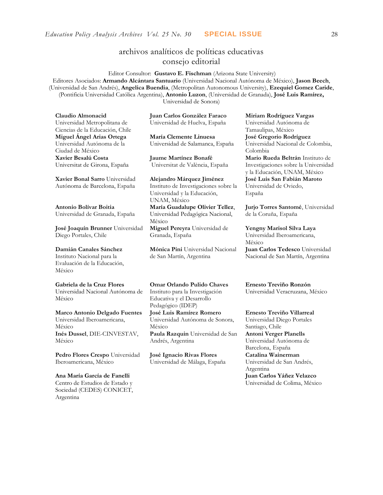## archivos analíticos de políticas educativas consejo editorial

Editor Consultor: **Gustavo E. Fischman** (Arizona State University) Editores Asociados: **Armando Alcántara Santuario** (Universidad Nacional Autónoma de México), **Jason Beech**, (Universidad de San Andrés), **Angelica Buendia**, (Metropolitan Autonomous University), **Ezequiel Gomez Caride**, (Pontificia Universidad Católica Argentina), **Antonio Luzon**, (Universidad de Granada), **José Luis Ramírez,** Universidad de Sonora)

**Claudio Almonacid** Universidad Metropolitana de Ciencias de la Educación, Chile **Miguel Ángel Arias Ortega**  Universidad Autónoma de la Ciudad de México **Xavier Besalú Costa**  Universitat de Girona, España

**[Xavier Bonal](javascript:openRTWindow() Sarro** Universidad Autónoma de Barcelona, España

**[Antonio Bolívar](javascript:openRTWindow() Boitia** Universidad de Granada, España

**[José Joaquín Brunner](javascript:openRTWindow()** Universidad Diego Portales, Chile

#### **[Damián Canales Sánchez](javascript:openRTWindow()** Instituto Nacional para la Evaluación de la Educación,

México

## **Gabriela de la Cruz Flores**

Universidad Nacional Autónoma de México

#### **[Marco Antonio Delgado Fuentes](javascript:openRTWindow()** Universidad Iberoamericana, México **[Inés Dussel](javascript:openRTWindow()**, DIE-CINVESTAV, México

**[Pedro Flores Crespo](javascript:openRTWindow()** Universidad Iberoamericana, México

#### **Ana María García de Fanelli**  Centro de Estudios de Estado y Sociedad (CEDES) CONICET, Argentina

**Juan Carlos González Faraco**  Universidad de Huelva, España

**María Clemente Linuesa**  Universidad de Salamanca, España

**Jaume Martínez Bonafé** Universitat de València, España

**Alejandro Márquez Jiménez**  Instituto de Investigaciones sobre la Universidad y la Educación, UNAM, México **María Guadalupe Olivier Tellez**, Universidad Pedagógica Nacional, México **[Miguel Pereyra](javascript:openRTWindow()** Universidad de Granada, España

**[Mónica Pini](javascript:openRTWindow()** Universidad Nacional de San Martín, Argentina

**Omar Orlando Pulido Chaves** Instituto para la Investigación Educativa y el Desarrollo Pedagógico (IDEP)

**[José Luis Ramírez](javascript:openRTWindow() Romero** Universidad Autónoma de Sonora, México

**[Paula Razquin](javascript:openRTWindow()** Universidad de San Andrés, Argentina

**José Ignacio Rivas Flores** Universidad de Málaga, España **[Miriam Rodríguez Vargas](javascript:openRTWindow()** Universidad Autónoma de Tamaulipas, México **José Gregorio Rodríguez**  Universidad Nacional de Colombia, Colombia **[Mario Rueda Beltrán](javascript:openRTWindow()** Instituto de Investigaciones sobre la Universidad

y la Educación, UNAM, México **José Luis San Fabián Maroto**  Universidad de Oviedo, España

**[Jurjo Torres Santomé](javascript:openRTWindow()**, Universidad de la Coruña, España

**[Yengny Marisol Silva Laya](javascript:openRTWindow()** Universidad Iberoamericana, México **Juan Carlos Tedesco** Universidad Nacional de San Martín, Argentina

**Ernesto Treviño Ronzón** Universidad Veracruzana, México

**[Ernesto Treviño](javascript:openRTWindow() Villarreal** Universidad Diego Portales Santiago, Chile **[Antoni Verger Planells](javascript:openRTWindow()** Universidad Autónoma de Barcelona, España **[Catalina Wainerman](javascript:openRTWindow()** Universidad de San Andrés, Argentina **Juan Carlos Yáñez Velazco** Universidad de Colima, México